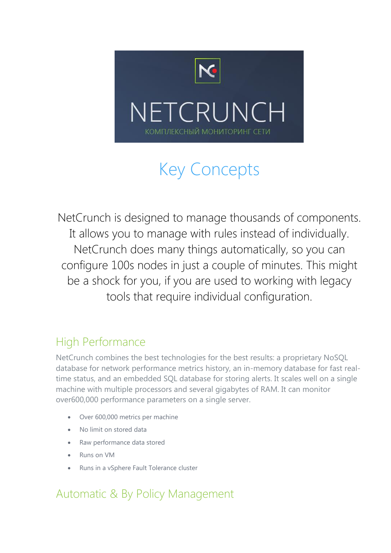

# Key Concepts

NetCrunch is designed to manage thousands of components. It allows you to manage with rules instead of individually. NetCrunch does many things automatically, so you can configure 100s nodes in just a couple of minutes. This might be a shock for you, if you are used to working with legacy tools that require individual configuration.

# High Performance

NetCrunch combines the best technologies for the best results: a proprietary NoSQL database for network performance metrics history, an in-memory database for fast realtime status, and an embedded SQL database for storing alerts. It scales well on a single machine with multiple processors and several gigabytes of RAM. It can monitor over600,000 performance parameters on a single server.

- Over 600,000 metrics per machine
- No limit on stored data
- Raw performance data stored
- Runs on VM
- Runs in a vSphere Fault Tolerance cluster

# Automatic & By Policy Management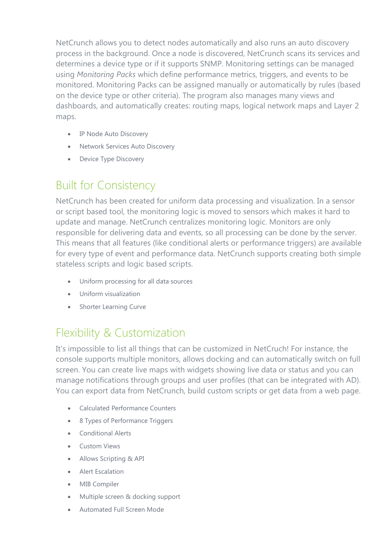NetCrunch allows you to detect nodes automatically and also runs an auto discovery process in the background. Once a node is discovered, NetCrunch scans its services and determines a device type or if it supports SNMP. Monitoring settings can be managed using *Monitoring Packs* which define performance metrics, triggers, and events to be monitored. Monitoring Packs can be assigned manually or automatically by rules (based on the device type or other criteria). The program also manages many views and dashboards, and automatically creates: routing maps, logical network maps and Layer 2 maps.

- IP Node Auto Discovery
- Network Services Auto Discovery
- Device Type Discovery

### Built for Consistency

NetCrunch has been created for uniform data processing and visualization. In a sensor or script based tool, the monitoring logic is moved to sensors which makes it hard to update and manage. NetCrunch centralizes monitoring logic. Monitors are only responsible for delivering data and events, so all processing can be done by the server. This means that all features (like conditional alerts or performance triggers) are available for every type of event and performance data. NetCrunch supports creating both simple stateless scripts and logic based scripts.

- Uniform processing for all data sources
- Uniform visualization
- Shorter Learning Curve

# Flexibility & Customization

It's impossible to list all things that can be customized in NetCruch! For instance, the console supports multiple monitors, allows docking and can automatically switch on full screen. You can create live maps with widgets showing live data or status and you can manage notifications through groups and user profiles (that can be integrated with AD). You can export data from NetCrunch, build custom scripts or get data from a web page.

- Calculated Performance Counters
- 8 Types of Performance Triggers
- Conditional Alerts
- Custom Views
- Allows Scripting & API
- Alert Escalation
- MIB Compiler
- Multiple screen & docking support
- Automated Full Screen Mode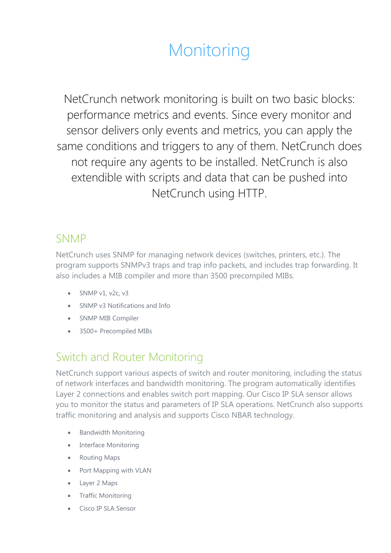# **Monitoring**

NetCrunch network monitoring is built on two basic blocks: performance metrics and events. Since every monitor and sensor delivers only events and metrics, you can apply the same conditions and triggers to any of them. NetCrunch does not require any agents to be installed. NetCrunch is also extendible with scripts and data that can be pushed into NetCrunch using HTTP.

#### SNMP

NetCrunch uses SNMP for managing network devices (switches, printers, etc.). The program supports SNMPv3 traps and trap info packets, and includes trap forwarding. It also includes a MIB compiler and more than 3500 precompiled MIBs.

- $\bullet$  SNMP v1, v2c, v3
- SNMP v3 Notifications and Info
- SNMP MIB Compiler
- 3500+ Precompiled MIBs

# Switch and Router Monitoring

NetCrunch support various aspects of switch and router monitoring, including the status of network interfaces and bandwidth monitoring. The program automatically identifies Layer 2 connections and enables switch port mapping. Our Cisco IP SLA sensor allows you to monitor the status and parameters of IP SLA operations. NetCrunch also supports traffic monitoring and analysis and supports Cisco NBAR technology.

- Bandwidth Monitoring
- Interface Monitoring
- Routing Maps
- Port Mapping with VLAN
- Layer 2 Maps
- Traffic Monitoring
- Cisco IP SLA Sensor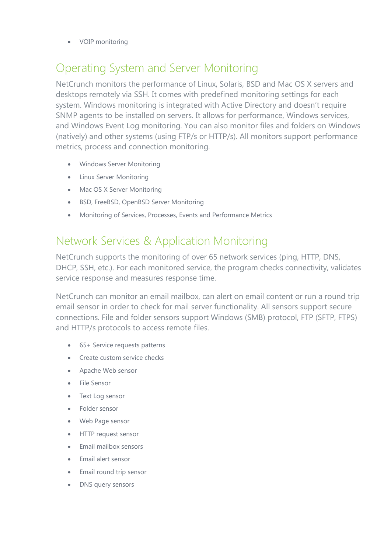VOIP monitoring

#### Operating System and Server Monitoring

NetCrunch monitors the performance of Linux, Solaris, BSD and Mac OS X servers and desktops remotely via SSH. It comes with predefined monitoring settings for each system. Windows monitoring is integrated with Active Directory and doesn't require SNMP agents to be installed on servers. It allows for performance, Windows services, and Windows Event Log monitoring. You can also monitor files and folders on Windows (natively) and other systems (using FTP/s or HTTP/s). All monitors support performance metrics, process and connection monitoring.

- Windows Server Monitoring
- **.** Linux Server Monitoring
- Mac OS X Server Monitoring
- BSD, FreeBSD, OpenBSD Server Monitoring
- Monitoring of Services, Processes, Events and Performance Metrics

#### Network Services & Application Monitoring

NetCrunch supports the monitoring of over 65 network services (ping, HTTP, DNS, DHCP, SSH, etc.). For each monitored service, the program checks connectivity, validates service response and measures response time.

NetCrunch can monitor an email mailbox, can alert on email content or run a round trip email sensor in order to check for mail server functionality. All sensors support secure connections. File and folder sensors support Windows (SMB) protocol, FTP (SFTP, FTPS) and HTTP/s protocols to access remote files.

- 65+ Service requests patterns
- Create custom service checks
- Apache Web sensor
- File Sensor
- Text Log sensor
- Folder sensor
- Web Page sensor
- HTTP request sensor
- Email mailbox sensors
- Email alert sensor
- Email round trip sensor
- DNS query sensors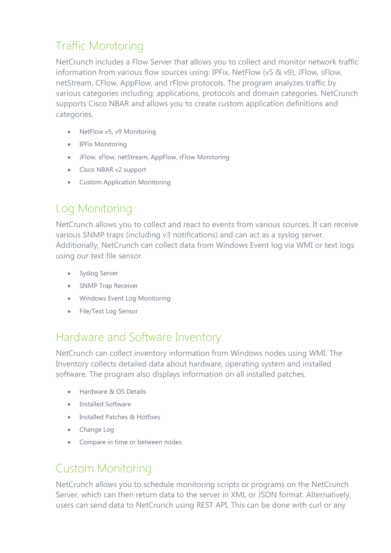# Traffic Monitoring

NetCrunch includes a Flow Server that allows you to collect and monitor network traffic information from various flow sources using: IPFix, NetFlow (v5 & v9), JFlow, sFlow, netStream, CFlow, AppFlow, and rFlow protocols. The program analyzes traffic by various categories including: applications, protocols and domain categories. NetCrunch supports Cisco NBAR and allows you to create custom application definitions and categories.

- NetFlow v5, v9 Monitoring
- IPFix Monitoring
- JFlow, sFlow, netStream, AppFlow, rFlow Monitoring
- Cisco NBAR v2 support
- Custom Application Monitoring

# Log Monitoring

NetCrunch allows you to collect and react to events from various sources. It can receive various SNMP traps (including v3 notifications) and can act as a syslog server. Additionally, NetCrunch can collect data from Windows Event log via WMI or text logs using our text file sensor.

- **•** Syslog Server
- SNMP Trap Receiver
- Windows Event Log Monitoring
- File/Text Log Sensor

#### Hardware and Software Inventory

NetCrunch can collect inventory information from Windows nodes using WMI. The Inventory collects detailed data about hardware, operating system and installed software. The program also displays information on all installed patches.

- Hardware & OS Details
- Installed Software
- Installed Patches & Hotfixes
- Change Log
- Compare in time or between nodes

# Custom Monitoring

NetCrunch allows you to schedule monitoring scripts or programs on the NetCrunch Server, which can then return data to the server in XML or JSON format. Alternatively, users can send data to NetCrunch using REST API. This can be done with curl or any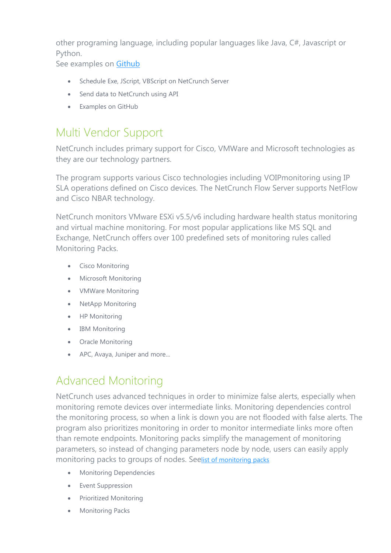other programing language, including popular languages like Java, C#, Javascript or Python.

See examples on [Github](https://github.com/AdRemSoftware/open-monitor-examples)

- Schedule Exe, JScript, VBScript on NetCrunch Server
- Send data to NetCrunch using API
- Examples on GitHub

#### Multi Vendor Support

NetCrunch includes primary support for Cisco, VMWare and Microsoft technologies as they are our technology partners.

The program supports various Cisco technologies including VOIPmonitoring using IP SLA operations defined on Cisco devices. The NetCrunch Flow Server supports NetFlow and Cisco NBAR technology.

NetCrunch monitors VMware ESXi v5.5/v6 including hardware health status monitoring and virtual machine monitoring. For most popular applications like MS SQL and Exchange, NetCrunch offers over 100 predefined sets of monitoring rules called Monitoring Packs.

- **•** Cisco Monitoring
- Microsoft Monitoring
- VMWare Monitoring
- NetApp Monitoring
- HP Monitoring
- IBM Monitoring
- Oracle Monitoring
- APC, Avaya, Juniper and more...

#### Advanced Monitoring

NetCrunch uses advanced techniques in order to minimize false alerts, especially when monitoring remote devices over intermediate links. Monitoring dependencies control the monitoring process, so when a link is down you are not flooded with false alerts. The program also prioritizes monitoring in order to monitor intermediate links more often than remote endpoints. Monitoring packs simplify the management of monitoring parameters, so instead of changing parameters node by node, users can easily apply monitoring packs to groups of nodes. See[list of monitoring packs](https://ru.adremsoft.com/adoc/view/NetCrunch/391497918755)

- **•** Monitoring Dependencies
- Event Suppression
- **•** Prioritized Monitoring
- **•** Monitoring Packs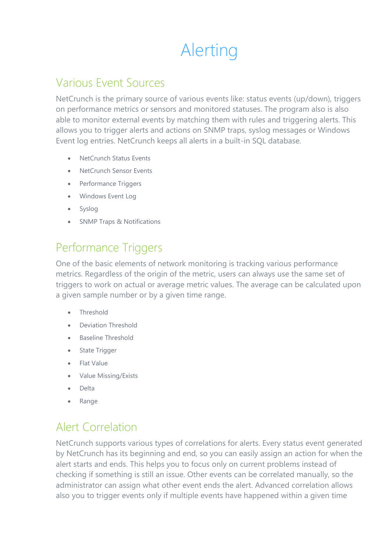# Alerting

#### Various Event Sources

NetCrunch is the primary source of various events like: status events (up/down), triggers on performance metrics or sensors and monitored statuses. The program also is also able to monitor external events by matching them with rules and triggering alerts. This allows you to trigger alerts and actions on SNMP traps, syslog messages or Windows Event log entries. NetCrunch keeps all alerts in a built-in SQL database.

- NetCrunch Status Events
- NetCrunch Sensor Events
- Performance Triggers
- Windows Event Log
- Syslog
- SNMP Traps & Notifications

#### Performance Triggers

One of the basic elements of network monitoring is tracking various performance metrics. Regardless of the origin of the metric, users can always use the same set of triggers to work on actual or average metric values. The average can be calculated upon a given sample number or by a given time range.

- Threshold
- Deviation Threshold
- Baseline Threshold
- State Trigger
- Flat Value
- Value Missing/Exists
- Delta
- Range

#### Alert Correlation

NetCrunch supports various types of correlations for alerts. Every status event generated by NetCrunch has its beginning and end, so you can easily assign an action for when the alert starts and ends. This helps you to focus only on current problems instead of checking if something is still an issue. Other events can be correlated manually, so the administrator can assign what other event ends the alert. Advanced correlation allows also you to trigger events only if multiple events have happened within a given time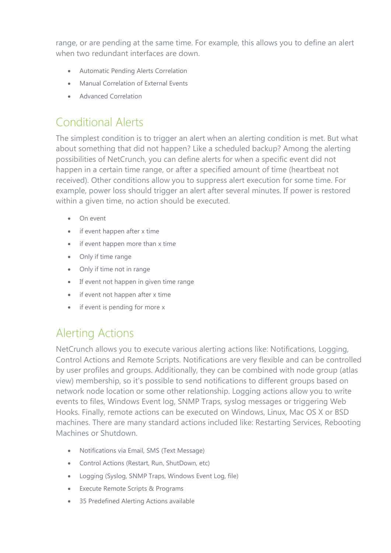range, or are pending at the same time. For example, this allows you to define an alert when two redundant interfaces are down.

- Automatic Pending Alerts Correlation
- Manual Correlation of External Events
- Advanced Correlation

### Conditional Alerts

The simplest condition is to trigger an alert when an alerting condition is met. But what about something that did not happen? Like a scheduled backup? Among the alerting possibilities of NetCrunch, you can define alerts for when a specific event did not happen in a certain time range, or after a specified amount of time (heartbeat not received). Other conditions allow you to suppress alert execution for some time. For example, power loss should trigger an alert after several minutes. If power is restored within a given time, no action should be executed.

- On event
- if event happen after x time
- if event happen more than x time
- Only if time range
- Only if time not in range
- If event not happen in given time range
- if event not happen after x time
- if event is pending for more x

#### Alerting Actions

NetCrunch allows you to execute various alerting actions like: Notifications, Logging, Control Actions and Remote Scripts. Notifications are very flexible and can be controlled by user profiles and groups. Additionally, they can be combined with node group (atlas view) membership, so it's possible to send notifications to different groups based on network node location or some other relationship. Logging actions allow you to write events to files, Windows Event log, SNMP Traps, syslog messages or triggering Web Hooks. Finally, remote actions can be executed on Windows, Linux, Mac OS X or BSD machines. There are many standard actions included like: Restarting Services, Rebooting Machines or Shutdown.

- Notifications via Email, SMS (Text Message)
- Control Actions (Restart, Run, ShutDown, etc)
- Logging (Syslog, SNMP Traps, Windows Event Log, file)
- Execute Remote Scripts & Programs
- 35 Predefined Alerting Actions available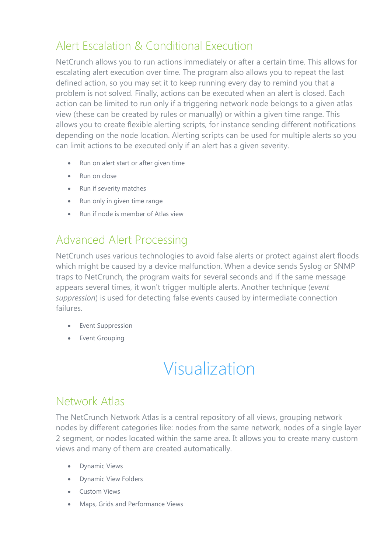# Alert Escalation & Conditional Execution

NetCrunch allows you to run actions immediately or after a certain time. This allows for escalating alert execution over time. The program also allows you to repeat the last defined action, so you may set it to keep running every day to remind you that a problem is not solved. Finally, actions can be executed when an alert is closed. Each action can be limited to run only if a triggering network node belongs to a given atlas view (these can be created by rules or manually) or within a given time range. This allows you to create flexible alerting scripts, for instance sending different notifications depending on the node location. Alerting scripts can be used for multiple alerts so you can limit actions to be executed only if an alert has a given severity.

- Run on alert start or after given time
- Run on close
- Run if severity matches
- Run only in given time range
- Run if node is member of Atlas view

#### Advanced Alert Processing

NetCrunch uses various technologies to avoid false alerts or protect against alert floods which might be caused by a device malfunction. When a device sends Syslog or SNMP traps to NetCrunch, the program waits for several seconds and if the same message appears several times, it won't trigger multiple alerts. Another technique (*event suppression*) is used for detecting false events caused by intermediate connection failures.

- Event Suppression
- **•** Event Grouping

# Visualization

#### Network Atlas

The NetCrunch Network Atlas is a central repository of all views, grouping network nodes by different categories like: nodes from the same network, nodes of a single layer 2 segment, or nodes located within the same area. It allows you to create many custom views and many of them are created automatically.

- Dynamic Views
- Dynamic View Folders
- **•** Custom Views
- Maps, Grids and Performance Views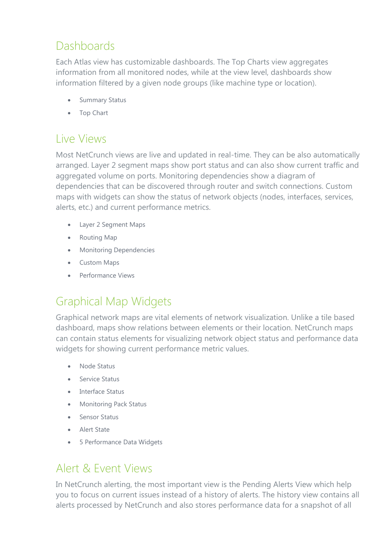# **Dashboards**

Each Atlas view has customizable dashboards. The Top Charts view aggregates information from all monitored nodes, while at the view level, dashboards show information filtered by a given node groups (like machine type or location).

- Summary Status
- Top Chart

#### Live Views

Most NetCrunch views are live and updated in real-time. They can be also automatically arranged. Layer 2 segment maps show port status and can also show current traffic and aggregated volume on ports. Monitoring dependencies show a diagram of dependencies that can be discovered through router and switch connections. Custom maps with widgets can show the status of network objects (nodes, interfaces, services, alerts, etc.) and current performance metrics.

- Layer 2 Segment Maps
- Routing Map
- **•** Monitoring Dependencies
- Custom Maps
- Performance Views

# Graphical Map Widgets

Graphical network maps are vital elements of network visualization. Unlike a tile based dashboard, maps show relations between elements or their location. NetCrunch maps can contain status elements for visualizing network object status and performance data widgets for showing current performance metric values.

- Node Status
- **Service Status**
- Interface Status
- Monitoring Pack Status
- Sensor Status
- Alert State
- 5 Performance Data Widgets

#### Alert & Event Views

In NetCrunch alerting, the most important view is the Pending Alerts View which help you to focus on current issues instead of a history of alerts. The history view contains all alerts processed by NetCrunch and also stores performance data for a snapshot of all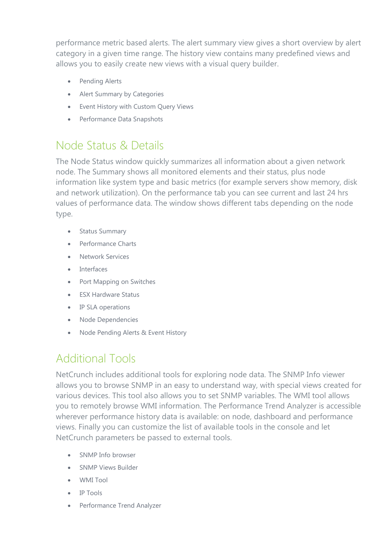performance metric based alerts. The alert summary view gives a short overview by alert category in a given time range. The history view contains many predefined views and allows you to easily create new views with a visual query builder.

- Pending Alerts
- Alert Summary by Categories
- Event History with Custom Query Views
- Performance Data Snapshots

#### Node Status & Details

The Node Status window quickly summarizes all information about a given network node. The Summary shows all monitored elements and their status, plus node information like system type and basic metrics (for example servers show memory, disk and network utilization). On the performance tab you can see current and last 24 hrs values of performance data. The window shows different tabs depending on the node type.

- Status Summary
- Performance Charts
- **Network Services**
- Interfaces
- Port Mapping on Switches
- ESX Hardware Status
- IP SLA operations
- Node Dependencies
- Node Pending Alerts & Event History

#### Additional Tools

NetCrunch includes additional tools for exploring node data. The SNMP Info viewer allows you to browse SNMP in an easy to understand way, with special views created for various devices. This tool also allows you to set SNMP variables. The WMI tool allows you to remotely browse WMI information. The Performance Trend Analyzer is accessible wherever performance history data is available: on node, dashboard and performance views. Finally you can customize the list of available tools in the console and let NetCrunch parameters be passed to external tools.

- SNMP Info browser
- SNMP Views Builder
- WMI Tool
- IP Tools
- Performance Trend Analyzer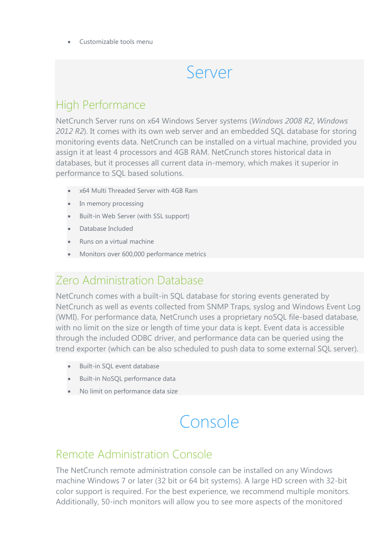Customizable tools menu

# Server

#### High Performance

NetCrunch Server runs on x64 Windows Server systems (*Windows 2008 R2*, *Windows 2012 R2*). It comes with its own web server and an embedded SQL database for storing monitoring events data. NetCrunch can be installed on a virtual machine, provided you assign it at least 4 processors and 4GB RAM. NetCrunch stores historical data in databases, but it processes all current data in-memory, which makes it superior in performance to SQL based solutions.

- x64 Multi Threaded Server with 4GB Ram
- In memory processing
- Built-in Web Server (with SSL support)
- Database Included
- Runs on a virtual machine
- Monitors over 600,000 performance metrics

#### Zero Administration Database

NetCrunch comes with a built-in SQL database for storing events generated by NetCrunch as well as events collected from SNMP Traps, syslog and Windows Event Log (WMI). For performance data, NetCrunch uses a proprietary noSQL file-based database, with no limit on the size or length of time your data is kept. Event data is accessible through the included ODBC driver, and performance data can be queried using the trend exporter (which can be also scheduled to push data to some external SQL server).

- Built-in SQL event database
- Built-in NoSQL performance data
- No limit on performance data size

# Console

#### Remote Administration Console

The NetCrunch remote administration console can be installed on any Windows machine Windows 7 or later (32 bit or 64 bit systems). A large HD screen with 32-bit color support is required. For the best experience, we recommend multiple monitors. Additionally, 50-inch monitors will allow you to see more aspects of the monitored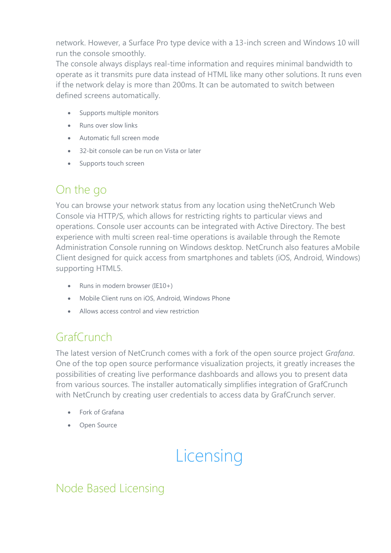network. However, a Surface Pro type device with a 13-inch screen and Windows 10 will run the console smoothly.

The console always displays real-time information and requires minimal bandwidth to operate as it transmits pure data instead of HTML like many other solutions. It runs even if the network delay is more than 200ms. It can be automated to switch between defined screens automatically.

- Supports multiple monitors
- Runs over slow links
- Automatic full screen mode
- 32-bit console can be run on Vista or later
- Supports touch screen

#### On the go

You can browse your network status from any location using theNetCrunch Web Console via HTTP/S, which allows for restricting rights to particular views and operations. Console user accounts can be integrated with Active Directory. The best experience with multi screen real-time operations is available through the Remote Administration Console running on Windows desktop. NetCrunch also features aMobile Client designed for quick access from smartphones and tablets (iOS, Android, Windows) supporting HTML5.

- Runs in modern browser (IE10+)
- Mobile Client runs on iOS, Android, Windows Phone
- Allows access control and view restriction

# GrafCrunch

The latest version of NetCrunch comes with a fork of the open source project *Grafana*. One of the top open source performance visualization projects, it greatly increases the possibilities of creating live performance dashboards and allows you to present data from various sources. The installer automatically simplifies integration of GrafCrunch with NetCrunch by creating user credentials to access data by GrafCrunch server.

- Fork of Grafana
- Open Source

# **Licensing**

#### Node Based Licensing